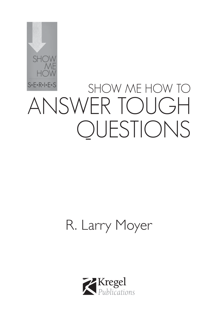

# SHOW ME HOW TO ANSWER TOUGH QUESTIONS

## R. Larry Moyer

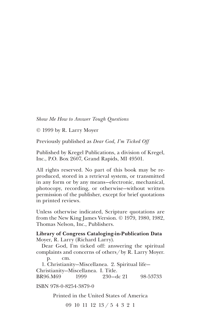*Show Me How to Answer Tough Questions*

© 1999 by R. Larry Moyer

Previously published as *Dear God, I'm Ticked Off*

Published by Kregel Publications, a division of Kregel, Inc., P.O. Box 2607, Grand Rapids, MI 49501.

All rights reserved. No part of this book may be reproduced, stored in a retrieval system, or transmitted in any form or by any means—electronic, mechanical, photocopy, recording, or otherwise—without written permission of the publisher, except for brief quotations in printed reviews.

Unless otherwise indicated, Scripture quotations are from the New King James Version. © 1979, 1980, 1982, Thomas Nelson, Inc., Publishers.

#### **Library of Congress Cataloging-in-Publication Data** Moyer, R. Larry (Richard Larry).

Dear God, I'm ticked off: answering the spiritual complaints and concerns of others/by R. Larry Moyer.

p. cm.

1. Christianity—Miscellanea. 2. Spiritual life— Christianity—Miscellanea. I. Title.

BR96.M69 1999 230—dc 21 98-53733

ISBN 978-0-8254-3879-0

Printed in the United States of America

09 10 11 12 13 / 5 4 3 2 1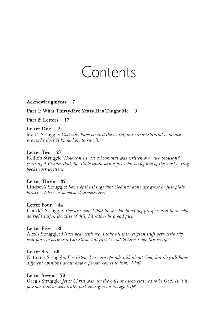## Contents

**Acknowledgments 7**

#### **Part 1: What Thirty-Five Years Has Taught Me 9**

**Part 2: Letters 17**

#### **Letter One 19**

Matt's Struggle: *God may have created the world, but circumstantial evidence proves he doesn't know how to run it.* 

#### **Letter Two 27**

Kellie's Struggle: *How can I trust a book that was written over two thousand years ago? Besides that, the Bible could win a prize for being one of the most boring books ever written.* 

#### **Letter Three 37**

Lindsey's Struggle: *Some of the things that God has done are gross or just plain bizarre. Why was bloodshed so necessary?*

#### **Letter Four 44**

Chuck's Struggle: *I've discovered that those who do wrong prosper, and those who do right suffer. Because of this, I'd rather be a bad guy.*

#### **Letter Five 53**

Alex's Struggle: *Please bear with me. I take all this religion stuff very seriously and plan to become a Christian, but first I want to have some fun in life.* 

#### **Letter Six 60**

Nathan's Struggle: *I've listened to many people talk about God, but they all have different opinions about how a person comes to him. Why?*

#### **Letter Seven 70**

Greg's Struggle: *Jesus Christ was not the only one who claimed to be God. Isn't it possible that he was really just some guy on an ego trip?*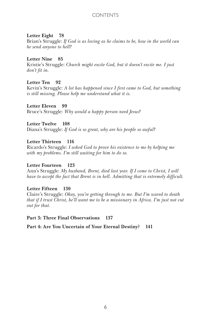#### **CONTENTS**

#### **Letter Eight 78**

Brian's Struggle: *If God is as loving as he claims to be, how in the world can he send anyone to hell?*

#### **Letter Nine 85**

Kristie's Struggle: *Church might excite God, but it doesn't excite me. I just don't fit in.* 

#### **Letter Ten 92**

Kevin's Struggle: *A lot has happened since I first came to God, but something is still missing. Please help me understand what it is.* 

#### **Letter Eleven 99** Bruce's Struggle: *Why would a happy person need Jesus?*

**Letter Twelve 108** Diana's Struggle: *If God is so great, why are his people so awful?*

#### **Letter Thirteen 116**

Ricardo's Struggle: *I asked God to prove his existence to me by helping me with my problems. I'm still waiting for him to do so.* 

#### **Letter Fourteen 123**

Ann's Struggle: *My husband, Brent, died last year. If I come to Christ, I will have to accept the fact that Brent is in hell. Admitting that is extremely difficult.* 

#### **Letter Fifteen 130**

Claire's Struggle: *Okay, you're getting through to me. But I'm scared to death that if I trust Christ, he'll want me to be a missionary in Africa. I'm just not cut out for that.* 

**Part 3: Three Final Observations 137**

**Part 4: Are You Uncertain of Your Eternal Destiny? 141**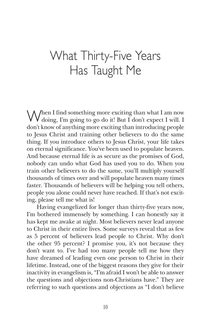## What Thirty-Five Years Has Taught Me

When I find something more exciting than what I am now doing, I'm going to go do it! But I don't expect I will. I don't know of anything more exciting than introducing people to Jesus Christ and training other believers to do the same thing. If you introduce others to Jesus Christ, your life takes on eternal significance. You've been used to populate heaven. And because eternal life is as secure as the promises of God, nobody can undo what God has used you to do. When you train other believers to do the same, you'll multiply yourself thousands of times over and will populate heaven many times faster. Thousands of believers will be helping you tell others, people you alone could never have reached. If that's not exciting, please tell me what is!

Having evangelized for longer than thirty-five years now, I'm bothered immensely by something. I can honestly say it has kept me awake at night. Most believers never lead anyone to Christ in their entire lives. Some surveys reveal that as few as 5 percent of believers lead people to Christ. Why don't the other 95 percent? I promise you, it's not because they don't want to. I've had too many people tell me how they have dreamed of leading even one person to Christ in their lifetime. Instead, one of the biggest reasons they give for their inactivity in evangelism is, "I'm afraid I won't be able to answer the questions and objections non-Christians have." They are referring to such questions and objections as "I don't believe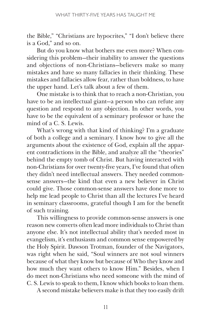the Bible," "Christians are hypocrites," "I don't believe there is a God," and so on.

But do you know what bothers me even more? When considering this problem—their inability to answer the questions and objections of non-Christians—believers make so many mistakes and have so many fallacies in their thinking. These mistakes and fallacies allow fear, rather than boldness, to have the upper hand. Let's talk about a few of them.

One mistake is to think that to reach a non-Christian, you have to be an intellectual giant—a person who can refute any question and respond to any objection. In other words, you have to be the equivalent of a seminary professor or have the mind of a C. S. Lewis.

What's wrong with that kind of thinking? I'm a graduate of both a college and a seminary. I know how to give all the arguments about the existence of God, explain all the apparent contradictions in the Bible, and analyze all the "theories" behind the empty tomb of Christ. But having interacted with non-Christians for over twenty-five years, I've found that often they didn't need intellectual answers. They needed commonsense answers—the kind that even a new believer in Christ could give. Those common-sense answers have done more to help me lead people to Christ than all the lectures I've heard in seminary classrooms, grateful though I am for the benefit of such training.

This willingness to provide common-sense answers is one reason new converts often lead more individuals to Christ than anyone else. It's not intellectual ability that's needed most in evangelism, it's enthusiasm and common sense empowered by the Holy Spirit. Dawson Trotman, founder of the Navigators, was right when he said, "Soul winners are not soul winners because of what they know but because of Who they know and how much they want others to know Him." Besides, when I do meet non-Christians who need someone with the mind of C. S. Lewis to speak to them, I know which books to loan them.

A second mistake believers make is that they too easily drift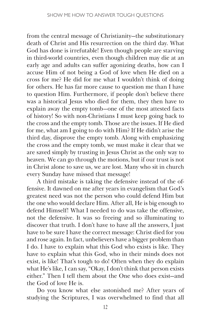from the central message of Christianity—the substitutionary death of Christ and His resurrection on the third day. What God has done is irrefutable! Even though people are starving in third-world countries, even though children may die at an early age and adults can suffer agonizing deaths, how can I accuse Him of not being a God of love when He died on a cross for me? He did for me what I wouldn't think of doing for others. He has far more cause to question me than I have to question Him. Furthermore, if people don't believe there was a historical Jesus who died for them, they then have to explain away the empty tomb—one of the most attested facts of history! So with non-Christians I must keep going back to the cross and the empty tomb. Those are the issues. If He died for me, what am I going to do with Him? If He didn't arise the third day, disprove the empty tomb. Along with emphasizing the cross and the empty tomb, we must make it clear that we are saved simply by trusting in Jesus Christ as the only way to heaven. We can go through the motions, but if our trust is not in Christ alone to save us, we are lost. Many who sit in church every Sunday have missed that message!

A third mistake is taking the defensive instead of the offensive. It dawned on me after years in evangelism that God's greatest need was not the person who could defend Him but the one who would declare Him. After all, He is big enough to defend Himself! What I needed to do was take the offensive, not the defensive. It was so freeing and so illuminating to discover that truth. I don't have to have all the answers, I just have to be sure I have the correct message: Christ died for you and rose again. In fact, unbelievers have a bigger problem than I do. I have to explain what this God who exists is like. They have to explain what this God, who in their minds does not exist, is like! That's tough to do! Often when they do explain what He's like, I can say, "Okay, I don't think that person exists either." Then I tell them about the One who does exist—and the God of love He is.

Do you know what else astonished me? After years of studying the Scriptures, I was overwhelmed to find that all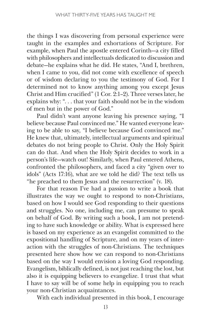the things I was discovering from personal experience were taught in the examples and exhortations of Scripture. For example, when Paul the apostle entered Corinth—a city filled with philosophers and intellectuals dedicated to discussion and debate—he explains what he did. He states, "And I, brethren, when I came to you, did not come with excellence of speech or of wisdom declaring to you the testimony of God. For I determined not to know anything among you except Jesus Christ and Him crucified" (1 Cor. 2:1–2). Three verses later, he explains why: ". . . that your faith should not be in the wisdom of men but in the power of God."

Paul didn't want anyone leaving his presence saying, "I believe because Paul convinced me." He wanted everyone leaving to be able to say, "I believe because God convinced me." He knew that, ultimately, intellectual arguments and spiritual debates do not bring people to Christ. Only the Holy Spirit can do that. And when the Holy Spirit decides to work in a person's life—watch out! Similarly, when Paul entered Athens, confronted the philosophers, and faced a city "given over to idols" (Acts 17:16), what are we told he did? The text tells us "he preached to them Jesus and the resurrection" (v. 18).

For that reason I've had a passion to write a book that illustrates the way we ought to respond to non-Christians, based on how I would see God responding to their questions and struggles. No one, including me, can presume to speak on behalf of God. By writing such a book, I am not pretending to have such knowledge or ability. What is expressed here is based on my experience as an evangelist committed to the expositional handling of Scripture, and on my years of interaction with the struggles of non-Christians. The techniques presented here show how we can respond to non-Christians based on the way I would envision a loving God responding. Evangelism, biblically defined, is not just reaching the lost, but also it is equipping believers to evangelize. I trust that what I have to say will be of some help in equipping you to reach your non-Christian acquaintances.

With each individual presented in this book, I encourage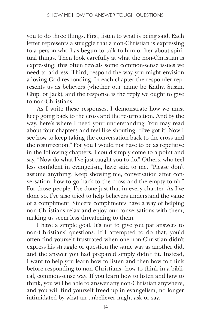you to do three things. First, listen to what is being said. Each letter represents a struggle that a non-Christian is expressing to a person who has begun to talk to him or her about spiritual things. Then look carefully at what the non-Christian is expressing; this often reveals some common-sense issues we need to address. Third, respond the way you might envision a loving God responding. In each chapter the responder represents us as believers (whether our name be Kathy, Susan, Chip, or Jack), and the response is the reply we ought to give to non-Christians.

As I write these responses, I demonstrate how we must keep going back to the cross and the resurrection. And by the way, here's where I need your understanding. You may read about four chapters and feel like shouting, "I've got it! Now I see how to keep taking the conversation back to the cross and the resurrection." For you I would not have to be as repetitive in the following chapters. I could simply come to a point and say, "Now do what I've just taught you to do." Others, who feel less confident in evangelism, have said to me, "Please don't assume anything. Keep showing me, conversation after conversation, how to go back to the cross and the empty tomb." For those people, I've done just that in every chapter. As I've done so, I've also tried to help believers understand the value of a compliment. Sincere compliments have a way of helping non-Christians relax and enjoy our conversations with them, making us seem less threatening to them.

I have a simple goal. It's not to give you pat answers to non-Christians' questions. If I attempted to do that, you'd often find yourself frustrated when one non-Christian didn't express his struggle or question the same way as another did, and the answer you had prepared simply didn't fit. Instead, I want to help you learn how to listen and then how to think before responding to non-Christians—how to think in a biblical, common-sense way. If you learn how to listen and how to think, you will be able to answer any non-Christian anywhere, and you will find yourself freed up in evangelism, no longer intimidated by what an unbeliever might ask or say.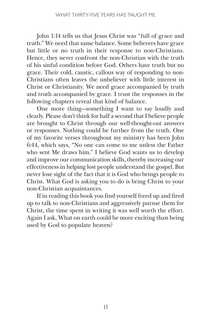John 1:14 tells us that Jesus Christ was "full of grace and truth." We need that same balance. Some believers have grace but little or no truth in their response to non-Christians. Hence, they never confront the non-Christian with the truth of his sinful condition before God. Others have truth but no grace. Their cold, caustic, callous way of responding to non-Christians often leaves the unbeliever with little interest in Christ or Christianity. We need grace accompanied by truth and truth accompanied by grace. I trust the responses in the following chapters reveal that kind of balance.

One more thing—something I want to say loudly and clearly. Please don't think for half a second that I believe people are brought to Christ through our well-thought-out answers or responses. Nothing could be further from the truth. One of my favorite verses throughout my ministry has been John 6:44, which says, "No one can come to me unless the Father who sent Me draws him." I believe God wants us to develop and improve our communication skills, thereby increasing our effectiveness in helping lost people understand the gospel. But never lose sight of the fact that it is God who brings people to Christ. What God is asking you to do is bring Christ to your non-Christian acquaintances.

If in reading this book you find yourself freed up and fired up to talk to non-Christians and aggressively pursue them for Christ, the time spent in writing it was well worth the effort. Again I ask, What on earth could be more exciting than being used by God to populate heaven?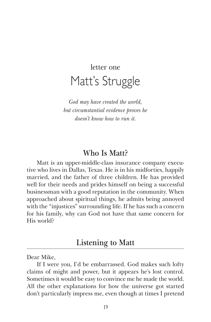## letter one Matt's Struggle

*God may have created the world, but circumstantial evidence proves he doesn't know how to run it.*

### **Who Is Matt?**

Matt is an upper-middle-class insurance company executive who lives in Dallas, Texas. He is in his midforties, happily married, and the father of three children. He has provided well for their needs and prides himself on being a successful businessman with a good reputation in the community. When approached about spiritual things, he admits being annoyed with the "injustices" surrounding life. If he has such a concern for his family, why can God not have that same concern for His world?

### **Listening to Matt**

Dear Mike,

If I were you, I'd be embarrassed. God makes such lofty claims of might and power, but it appears he's lost control. Sometimes it would be easy to convince me he made the world. All the other explanations for how the universe got started don't particularly impress me, even though at times I pretend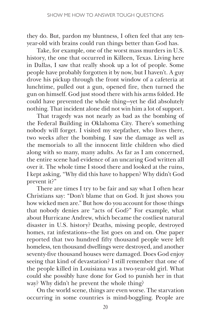they do. But, pardon my bluntness, I often feel that any tenyear-old with brains could run things better than God has.

Take, for example, one of the worst mass murders in U.S. history, the one that occurred in Killeen, Texas. Living here in Dallas, I saw that really shook up a lot of people. Some people have probably forgotten it by now, but I haven't. A guy drove his pickup through the front window of a cafeteria at lunchtime, pulled out a gun, opened fire, then turned the gun on himself. God just stood there with his arms folded. He could have prevented the whole thing—yet he did absolutely nothing. That incident alone did not win him a lot of support.

That tragedy was not nearly as bad as the bombing of the Federal Building in Oklahoma City. There's something nobody will forget. I visited my stepfather, who lives there, two weeks after the bombing. I saw the damage as well as the memorials to all the innocent little children who died along with so many, many adults. As far as I am concerned, the entire scene had evidence of an uncaring God written all over it. The whole time I stood there and looked at the ruins, I kept asking, "Why did this have to happen? Why didn't God prevent it?"

There are times I try to be fair and say what I often hear Christians say: "Don't blame that on God. It just shows you how wicked men are." But how do you account for those things that nobody denies are "acts of God?" For example, what about Hurricane Andrew, which became the costliest natural disaster in U.S. history? Deaths, missing people, destroyed homes, rat infestations—the list goes on and on. One paper reported that two hundred fifty thousand people were left homeless, ten thousand dwellings were destroyed, and another seventy-five thousand houses were damaged. Does God enjoy seeing that kind of devastation? I still remember that one of the people killed in Louisiana was a two-year-old girl. What could she possibly have done for God to punish her in that way? Why didn't he prevent the whole thing?

On the world scene, things are even worse. The starvation occurring in some countries is mind-boggling. People are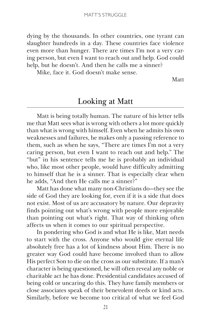dying by the thousands. In other countries, one tyrant can slaughter hundreds in a day. These countries face violence even more than hunger. There are times I'm not a very caring person, but even I want to reach out and help. God could help, but he doesn't. And then he calls me a sinner?

Mike, face it. God doesn't make sense.

Matt

### **Looking at Matt**

Matt is being totally human. The nature of his letter tells me that Matt sees what is wrong with others a lot more quickly than what is wrong with himself. Even when he admits his own weaknesses and failures, he makes only a passing reference to them, such as when he says, "There are times I'm not a very caring person, but even I want to reach out and help." The "but" in his sentence tells me he is probably an individual who, like most other people, would have difficulty admitting to himself that he is a sinner. That is especially clear when he adds, "And then He calls me a sinner?"

Matt has done what many non-Christians do—they see the side of God they are looking for, even if it is a side that does not exist. Most of us are accusatory by nature. Our depravity finds pointing out what's wrong with people more enjoyable than pointing out what's right. That way of thinking often affects us when it comes to our spiritual perspective.

In pondering who God is and what He is like, Matt needs to start with the cross. Anyone who would give eternal life absolutely free has a lot of kindness about Him. There is no greater way God could have become involved than to allow His perfect Son to die on the cross as our substitute. If a man's character is being questioned, he will often reveal any noble or charitable act he has done. Presidential candidates accused of being cold or uncaring do this. They have family members or close associates speak of their benevolent deeds or kind acts. Similarly, before we become too critical of what we feel God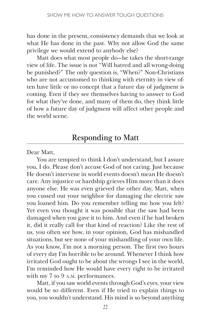has done in the present, consistency demands that we look at what He has done in the past. Why not allow God the same privilege we would extend to anybody else?

Matt does what most people do—he takes the short-range view of life. The issue is not "Will hatred and all wrong-doing be punished?" The only question is, "When?" Non-Christians who are not accustomed to thinking with eternity in view often have little or no concept that a future day of judgment is coming. Even if they see themselves having to answer to God for what they've done, and many of them do, they think little of how a future day of judgment will affect other people and the world scene.

### **Responding to Matt**

Dear Matt,

You are tempted to think I don't understand, but I assure you, I do. Please don't accuse God of not caring. Just because He doesn't intervene in world events doesn't mean He doesn't care. Any injustice or hardship grieves Him more than it does anyone else. He was even grieved the other day, Matt, when you cussed out your neighbor for damaging the electric saw you loaned him. Do you remember telling me how you felt? Yet even you thought it was possible that the saw had been damaged when you gave it to him. And even if he had broken it, did it really call for that kind of reaction? Like the rest of us, you often see how, in your opinion, God has mishandled situations, but see none of your mishandling of your own life. As you know, I'm not a morning person. The first two hours of every day I'm horrible to be around. Whenever I think how irritated God ought to be about the wrongs I see in the world, I'm reminded how He would have every right to be irritated with my 7 to 9 A.M. performances.

Matt, if you saw world events through God's eyes, your view would be so different. Even if He tried to explain things to you, you wouldn't understand. His mind is so beyond anything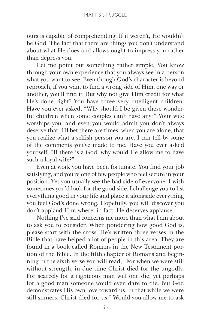ours is capable of comprehending. If it weren't, He wouldn't be God. The fact that there are things you don't understand about what He does and allows ought to impress you rather than depress you.

Let me point out something rather simple. You know through your own experience that you always see in a person what you want to see. Even though God's character is beyond reproach, if you want to find a wrong side of Him, one way or another, you'll find it. But why not give Him credit for what He's done right? You have three very intelligent children. Have you ever asked, "Why should I be given these wonderful children when some couples can't have any?" Your wife worships you, and even you would admit you don't always deserve that. I'll bet there are times, when you are alone, that you realize what a selfish person you are. I can tell by some of the comments you've made to me. Have you ever asked yourself, "If there is a God, why would He allow me to have such a loyal wife?"

Even at work you have been fortunate. You find your job satisfying, and you're one of few people who feel secure in your position. Yet you usually see the bad side of everyone. I wish sometimes you'd look for the good side. I challenge you to list everything good in your life and place it alongside everything you feel God's done wrong. Hopefully, you will discover you don't applaud Him where, in fact, He deserves applause.

Nothing I've said concerns me more than what I am about to ask you to consider. When pondering how good God is, please start with the cross. He's written three verses in the Bible that have helped a lot of people in this area. They are found in a book called Romans in the New Testament portion of the Bible. In the fifth chapter of Romans and beginning in the sixth verse you will read, "For when we were still without strength, in due time Christ died for the ungodly. For scarcely for a righteous man will one die; yet perhaps for a good man someone would even dare to die. But God demonstrates His own love toward us, in that while we were still sinners, Christ died for us." Would you allow me to ask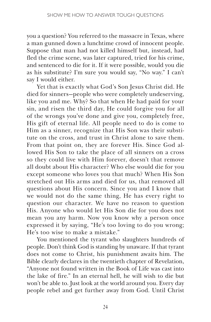you a question? You referred to the massacre in Texas, where a man gunned down a lunchtime crowd of innocent people. Suppose that man had not killed himself but, instead, had fled the crime scene, was later captured, tried for his crime, and sentenced to die for it. If it were possible, would you die as his substitute? I'm sure you would say, "No way." I can't say I would either.

Yet that is exactly what God's Son Jesus Christ did. He died for sinners—people who were completely undeserving, like you and me. Why? So that when He had paid for your sin, and risen the third day, He could forgive you for all of the wrongs you've done and give you, completely free, His gift of eternal life. All people need to do is come to Him as a sinner, recognize that His Son was their substitute on the cross, and trust in Christ alone to save them. From that point on, they are forever His. Since God allowed His Son to take the place of all sinners on a cross so they could live with Him forever, doesn't that remove all doubt about His character? Who else would die for you except someone who loves you that much? When His Son stretched out His arms and died for us, that removed all questions about His concern. Since you and I know that we would not do the same thing, He has every right to question our character. We have no reason to question His. Anyone who would let His Son die for you does not mean you any harm. Now you know why a person once expressed it by saying, "He's too loving to do you wrong; He's too wise to make a mistake."

You mentioned the tyrant who slaughters hundreds of people. Don't think God is standing by unaware. If that tyrant does not come to Christ, his punishment awaits him. The Bible clearly declares in the twentieth chapter of Revelation, "Anyone not found written in the Book of Life was cast into the lake of fire." In an eternal hell, he will wish to die but won't be able to. Just look at the world around you. Every day people rebel and get further away from God. Until Christ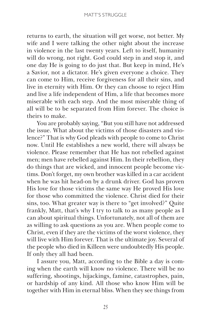returns to earth, the situation will get worse, not better. My wife and I were talking the other night about the increase in violence in the last twenty years. Left to itself, humanity will do wrong, not right. God could step in and stop it, and one day He is going to do just that. But keep in mind, He's a Savior, not a dictator. He's given everyone a choice. They can come to Him, receive forgiveness for all their sins, and live in eternity with Him. Or they can choose to reject Him and live a life independent of Him, a life that becomes more miserable with each step. And the most miserable thing of all will be to be separated from Him forever. The choice is theirs to make.

You are probably saying, "But you still have not addressed the issue. What about the victims of those disasters and violence?" That is why God pleads with people to come to Christ now. Until He establishes a new world, there will always be violence. Please remember that He has not rebelled against men; men have rebelled against Him. In their rebellion, they do things that are wicked, and innocent people become victims. Don't forget, my own brother was killed in a car accident when he was hit head-on by a drunk driver. God has proven His love for those victims the same way He proved His love for those who committed the violence. Christ died for their sins, too. What greater way is there to "get involved?" Quite frankly, Matt, that's why I try to talk to as many people as I can about spiritual things. Unfortunately, not all of them are as willing to ask questions as you are. When people come to Christ, even if they are the victims of the worst violence, they will live with Him forever. That is the ultimate joy. Several of the people who died in Killeen were undoubtedly His people. If only they all had been.

I assure you, Matt, according to the Bible a day is coming when the earth will know no violence. There will be no suffering, shootings, hijackings, famine, catastrophes, pain, or hardship of any kind. All those who know Him will be together with Him in eternal bliss. When they see things from